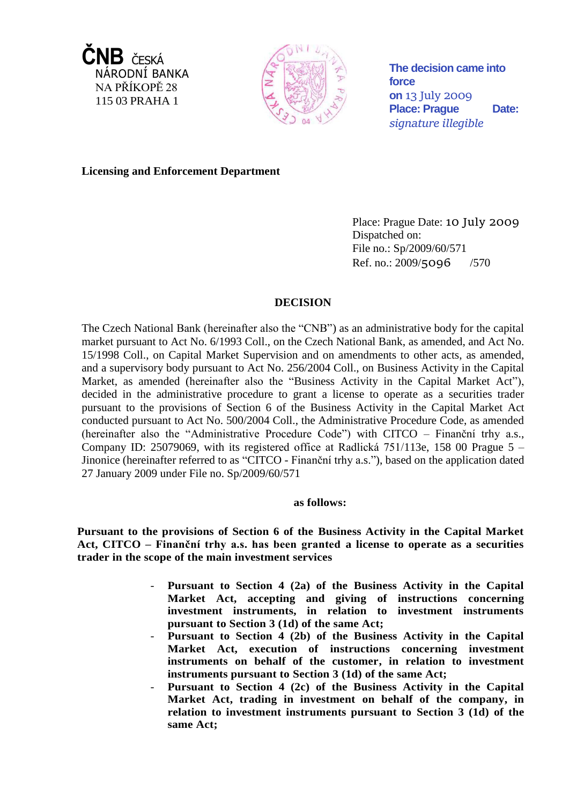



**The decision came into force on** 13 July 2009 Place: Prague Date: *signature illegible*

**Licensing and Enforcement Department**

Place: Prague Date: 10 July 2009 Dispatched on: File no.: Sp/2009/60/571 Ref. no.: 2009/5096 /570

# **DECISION**

The Czech National Bank (hereinafter also the "CNB") as an administrative body for the capital market pursuant to Act No. 6/1993 Coll., on the Czech National Bank, as amended, and Act No. 15/1998 Coll., on Capital Market Supervision and on amendments to other acts, as amended, and a supervisory body pursuant to Act No. 256/2004 Coll., on Business Activity in the Capital Market, as amended (hereinafter also the "Business Activity in the Capital Market Act"), decided in the administrative procedure to grant a license to operate as a securities trader pursuant to the provisions of Section 6 of the Business Activity in the Capital Market Act conducted pursuant to Act No. 500/2004 Coll., the Administrative Procedure Code, as amended (hereinafter also the "Administrative Procedure Code") with CITCO – Finanční trhy a.s., Company ID: 25079069, with its registered office at Radlická  $751/113e$ , 158 00 Prague 5 – Jinonice (hereinafter referred to as "CITCO - Finanční trhy a.s."), based on the application dated 27 January 2009 under File no. Sp/2009/60/571

## **as follows:**

**Pursuant to the provisions of Section 6 of the Business Activity in the Capital Market Act, CITCO – Finanční trhy a.s. has been granted a license to operate as a securities trader in the scope of the main investment services**

- **Pursuant to Section 4 (2a) of the Business Activity in the Capital Market Act, accepting and giving of instructions concerning investment instruments, in relation to investment instruments pursuant to Section 3 (1d) of the same Act;**
- **Pursuant to Section 4 (2b) of the Business Activity in the Capital Market Act, execution of instructions concerning investment instruments on behalf of the customer, in relation to investment instruments pursuant to Section 3 (1d) of the same Act;**
- **Pursuant to Section 4 (2c) of the Business Activity in the Capital Market Act, trading in investment on behalf of the company, in relation to investment instruments pursuant to Section 3 (1d) of the same Act;**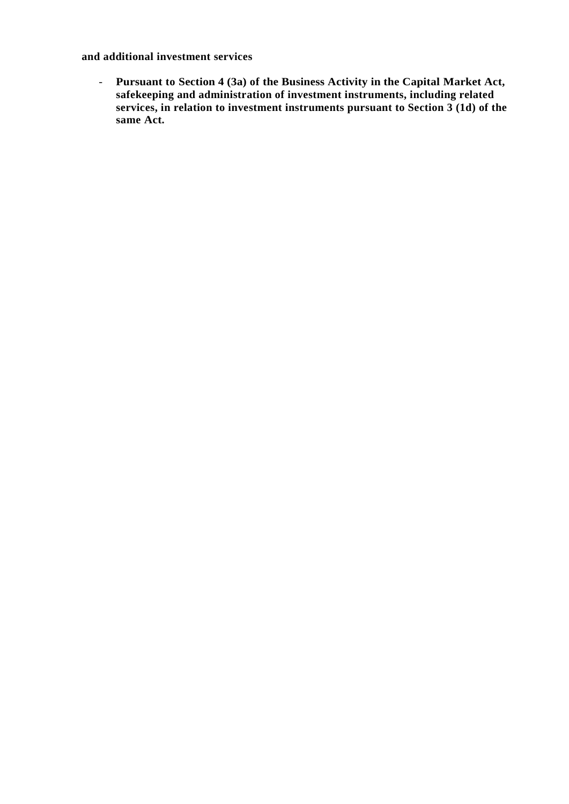**and additional investment services**

- **Pursuant to Section 4 (3a) of the Business Activity in the Capital Market Act, safekeeping and administration of investment instruments, including related**  services, in relation to investment instruments pursuant to Section 3 (1d) of the **same Act.**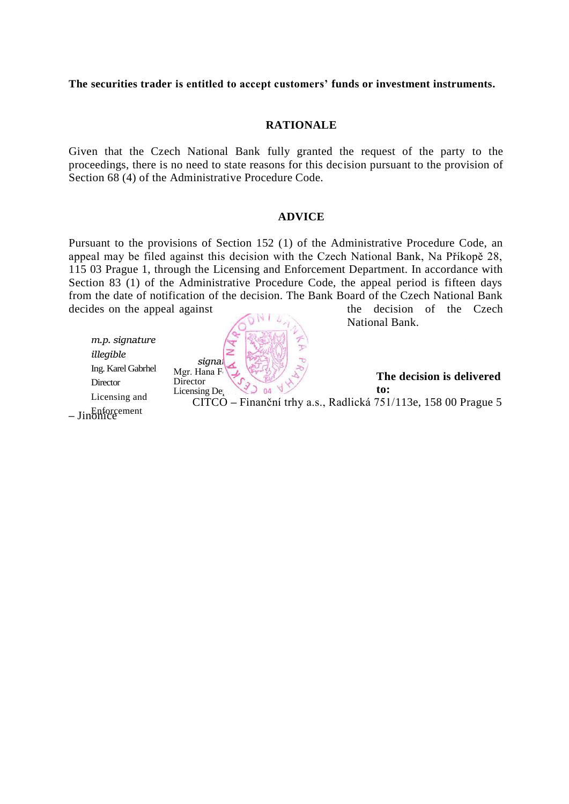**The securities trader is entitled to accept customers' funds or investment instruments.**

## **RATIONALE**

Given that the Czech National Bank fully granted the request of the party to the proceedings, there is no need to state reasons for this decision pursuant to the provision of Section 68 (4) of the Administrative Procedure Code.

### **ADVICE**

Pursuant to the provisions of Section 152 (1) of the Administrative Procedure Code, an appeal may be filed against this decision with the Czech National Bank, Na Příkopě 28, 115 03 Prague 1, through the Licensing and Enforcement Department. In accordance with Section 83 (1) of the Administrative Procedure Code, the appeal period is fifteen days from the date of notification of the decision. The Bank Board of the Czech National Bank decides on the appeal against the decision of the Czech

*m.p. signature illegible* Ing. Karel Gabrhel **Director** Licensing and



National Bank.

**The decision is delivered to:** CITCO **–** Finanční trhy a.s., Radlická 751/113e, 158 00 Prague 5

**–** Jinonice Enforcement  $\sum_{i=1}^{\infty}$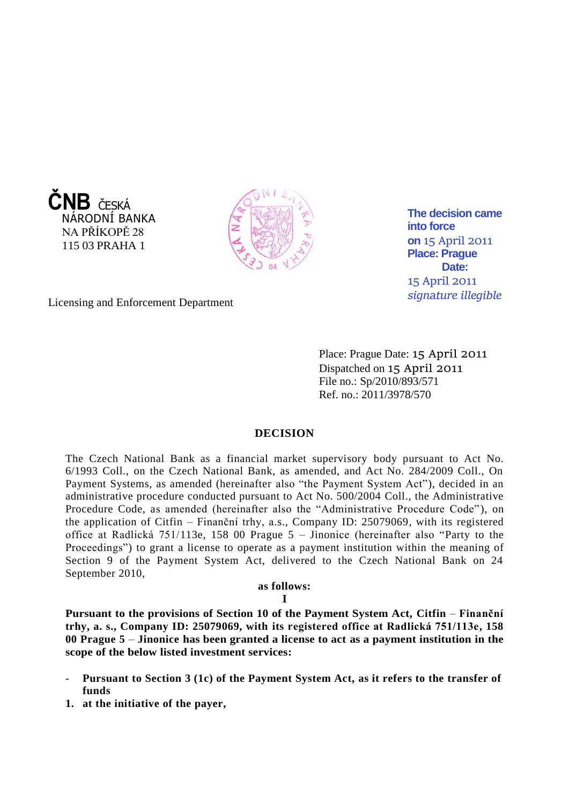



**The decision came into force on** 15 April 2011 **Place: Prague**  Date: 15 April 2011 *signature illegible*

Licensing and Enforcement Department

Place: Prague Date: 15 April 2011 Dispatched on 15 April 2011 File no.: Sp/2010/893/571 Ref. no.: 2011/3978/570

### **DECISION**

The Czech National Bank as a financial market supervisory body pursuant to Act No. 6/1993 Coll., on the Czech National Bank, as amended, and Act No. 284/2009 Coll., On Payment Systems, as amended (hereinafter also "the Payment System Act"), decided in an administrative procedure conducted pursuant to Act No. 500/2004 Coll., the Administrative Procedure Code, as amended (hereinafter also the "Administrative Procedure Code"), on the application of Citfin – Finanční trhy, a.s., Company ID: 25079069, with its registered office at Radlická 751/113e, 158 00 Prague 5 – Jinonice (hereinafter also "Party to the Proceedings") to grant a license to operate as a payment institution within the meaning of Section 9 of the Payment System Act, delivered to the Czech National Bank on 24 September 2010,

### **as follows:**

### **I**

**Pursuant to the provisions of Section 10 of the Payment System Act, Citfin – Finanční trhy, a. s., Company ID: 25079069, with its registered office at Radlická 751/113e, 158 00 Prague 5** – **Jinonice has been granted a license to act as a payment institution in the scope of the below listed investment services:**

- **Pursuant to Section 3 (1c) of the Payment System Act, as it refers to the transfer of funds**
- **1. at the initiative of the payer,**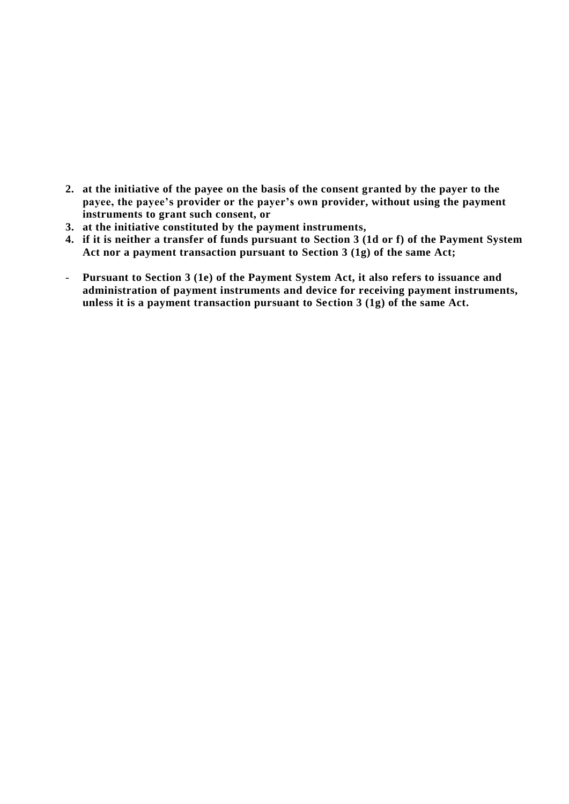- **2. at the initiative of the payee on the basis of the consent granted by the payer to the payee, the payee's provider or the payer's own provider, without using the payment instruments to grant such consent, or**
- **3. at the initiative constituted by the payment instruments,**
- **4. if it is neither a transfer of funds pursuant to Section 3 (1d or f) of the Payment System Act nor a payment transaction pursuant to Section 3 (1g) of the same Act;**
- **Pursuant to Section 3 (1e) of the Payment System Act, it also refers to issuance and administration of payment instruments and device for receiving payment instruments, unless it is a payment transaction pursuant to Section 3 (1g) of the same Act.**